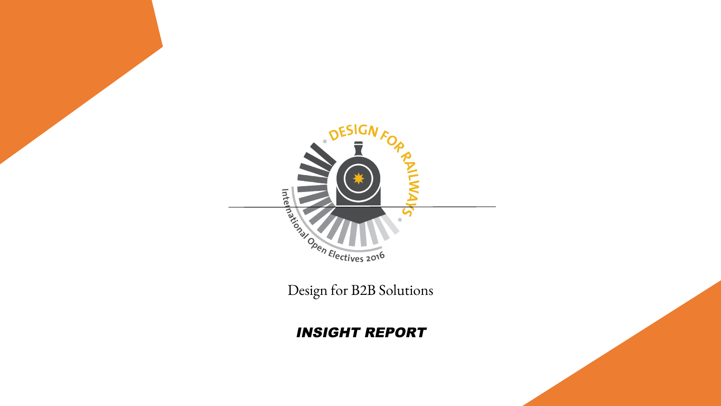

#### INSIGHT REPORT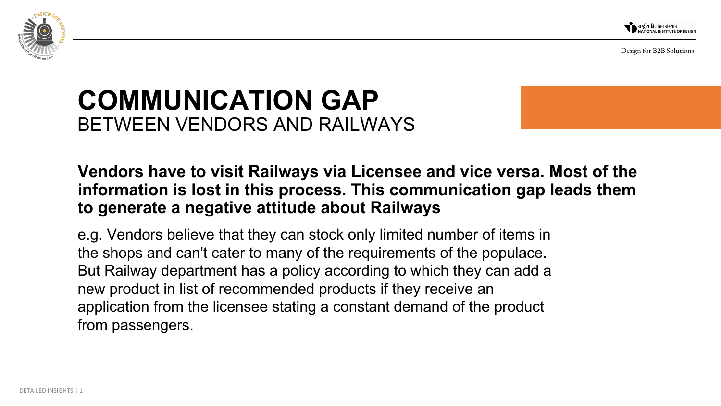



## **COMMUNICATION GAP**  BETWEEN VENDORS AND RAILWAYS

### **Vendors have to visit Railways via Licensee and vice versa. Most of the information is lost in this process. This communication gap leads them to generate a negative attitude about Railways**

e.g. Vendors believe that they can stock only limited number of items in the shops and can't cater to many of the requirements of the populace. But Railway department has a policy according to which they can add a new product in list of recommended products if they receive an application from the licensee stating a constant demand of the product from passengers.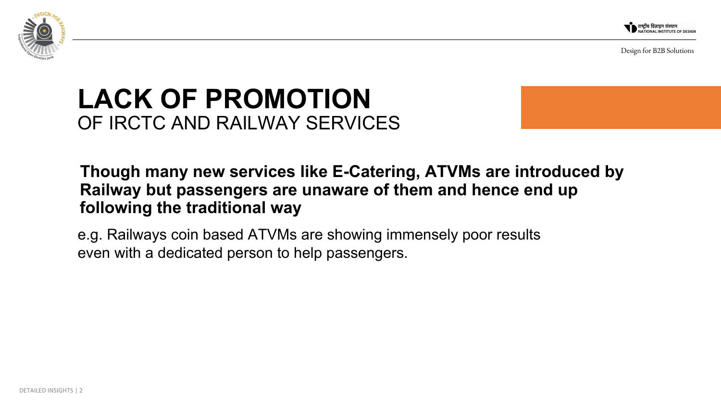



## **LACK OF PROMOTION**  OF IRCTC AND RAILWAY SERVICES

 **Though many new services like E-Catering, ATVMs are introduced by Railway but passengers are unaware of them and hence end up following the traditional way**

e.g. Railways coin based ATVMs are showing immensely poor results even with a dedicated person to help passengers.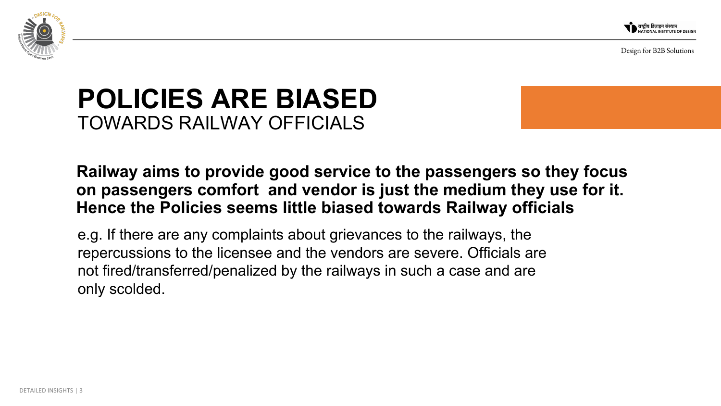



## **POLICIES ARE BIASED**  TOWARDS RAILWAY OFFICIALS

### **Railway aims to provide good service to the passengers so they focus on passengers comfort and vendor is just the medium they use for it. Hence the Policies seems little biased towards Railway officials**

e.g. If there are any complaints about grievances to the railways, the repercussions to the licensee and the vendors are severe. Officials are not fired/transferred/penalized by the railways in such a case and are only scolded.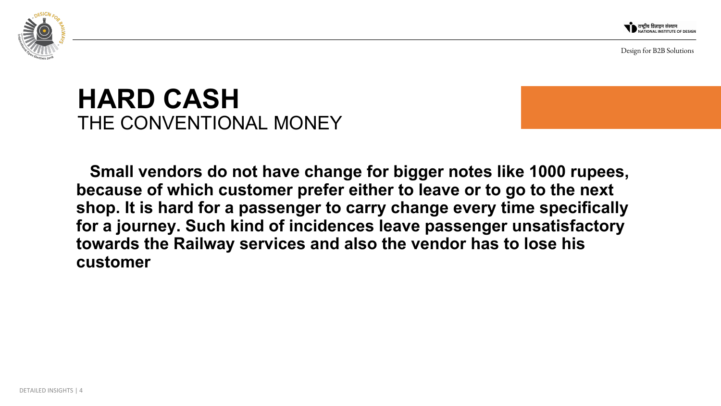



## **HARD CASH** THE CONVENTIONAL MONEY

**Small vendors do not have change for bigger notes like 1000 rupees, because of which customer prefer either to leave or to go to the next shop. It is hard for a passenger to carry change every time specifically for a journey. Such kind of incidences leave passenger unsatisfactory towards the Railway services and also the vendor has to lose his customer**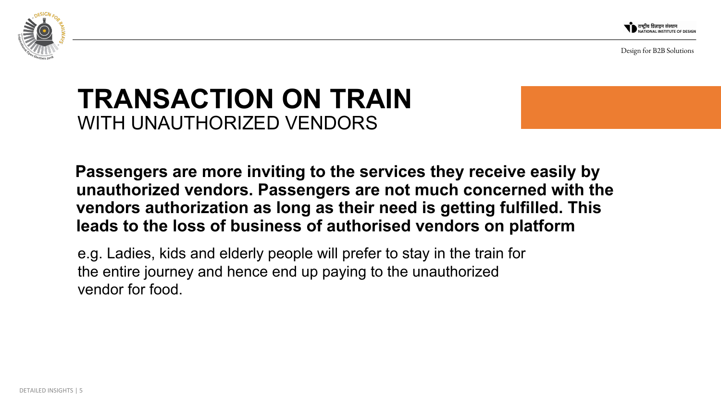



## **TRANSACTION ON TRAIN** WITH UNAUTHORIZED VENDORS

 **Passengers are more inviting to the services they receive easily by unauthorized vendors. Passengers are not much concerned with the vendors authorization as long as their need is getting fulfilled. This leads to the loss of business of authorised vendors on platform**

e.g. Ladies, kids and elderly people will prefer to stay in the train for the entire journey and hence end up paying to the unauthorized vendor for food.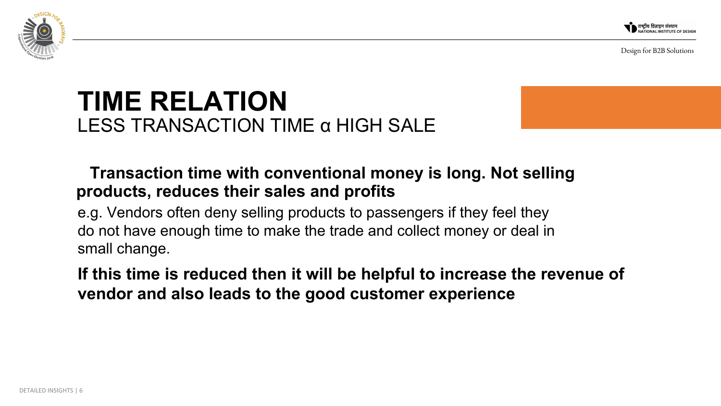



### **TIME RELATION** LESS TRANSACTION TIME α HIGH SALE

### **Transaction time with conventional money is long. Not selling products, reduces their sales and profits**

e.g. Vendors often deny selling products to passengers if they feel they do not have enough time to make the trade and collect money or deal in small change.

**If this time is reduced then it will be helpful to increase the revenue of vendor and also leads to the good customer experience**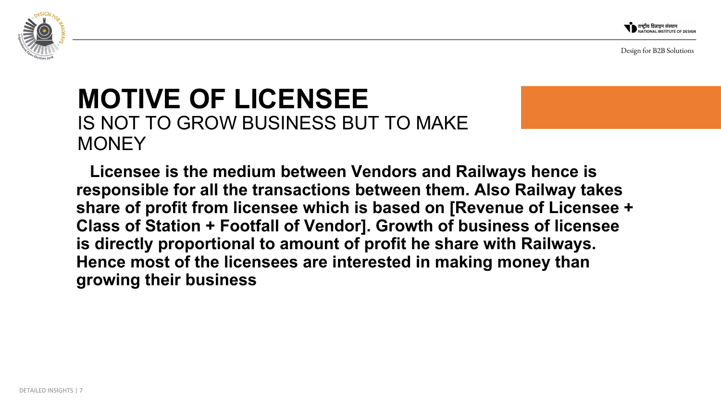



### **MOTIVE OF LICENSEE**  IS NOT TO GROW BUSINESS BUT TO MAKE **MONEY**

**Licensee is the medium between Vendors and Railways hence is responsible for all the transactions between them. Also Railway takes share of profit from licensee which is based on [Revenue of Licensee + Class of Station + Footfall of Vendor]. Growth of business of licensee is directly proportional to amount of profit he share with Railways. Hence most of the licensees are interested in making money than growing their business**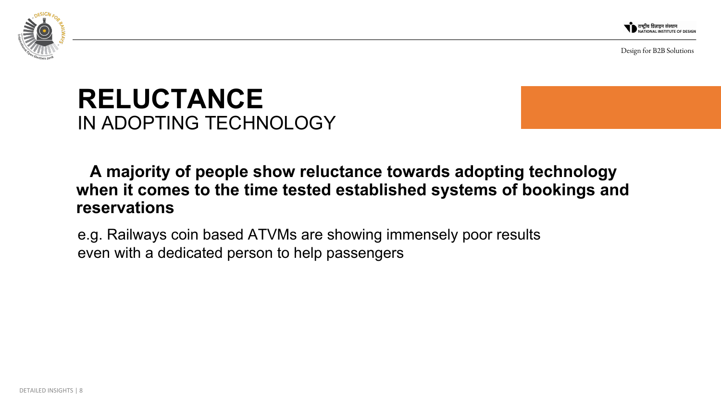

## **RELUCTANCE** IN ADOPTING TECHNOLOGY

### **A majority of people show reluctance towards adopting technology when it comes to the time tested established systems of bookings and reservations**

e.g. Railways coin based ATVMs are showing immensely poor results even with a dedicated person to help passengers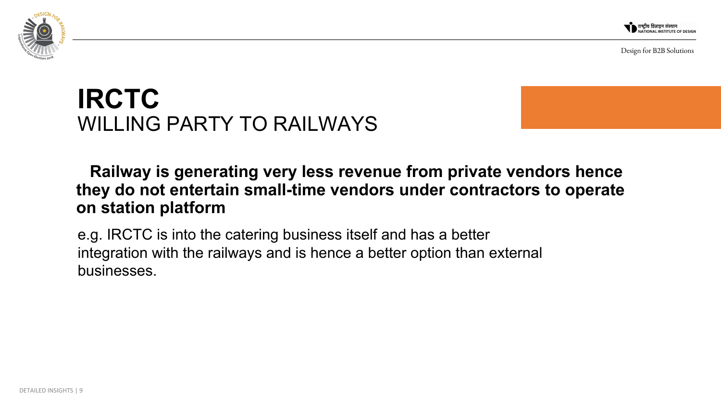

## **IRCTC** WILLING PARTY TO RAILWAYS

### **Railway is generating very less revenue from private vendors hence they do not entertain small-time vendors under contractors to operate on station platform**

e.g. IRCTC is into the catering business itself and has a better integration with the railways and is hence a better option than external businesses.